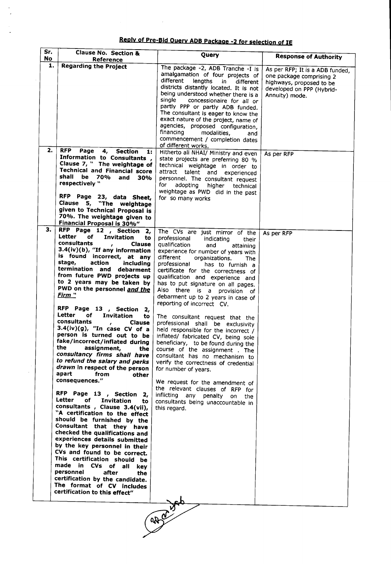Reply of Pre-Bid Query ADB Package -2 for selection of IE

l.

 $\ddot{\phantom{0}}$ l,

 $\overline{a}$ 

 $\epsilon$ 

| Sr.<br>No | <b>Clause No. Section &amp;</b>                                                                                                                                                                                                                                                                                                                                                                                                                                                                                                                                                                                                                                                                                                                                                                                                                                                                                                                                                                                                                                                                                                                                                                                                                                                                                                                                                                                                                                                                          | Query                                                                                                                                                                                                                                                                                                                                                                                                                                                                                                                                                                                                                                                                                                                                                                                                                                                                                                                                          | <b>Response of Authority</b>                                                                                                           |
|-----------|----------------------------------------------------------------------------------------------------------------------------------------------------------------------------------------------------------------------------------------------------------------------------------------------------------------------------------------------------------------------------------------------------------------------------------------------------------------------------------------------------------------------------------------------------------------------------------------------------------------------------------------------------------------------------------------------------------------------------------------------------------------------------------------------------------------------------------------------------------------------------------------------------------------------------------------------------------------------------------------------------------------------------------------------------------------------------------------------------------------------------------------------------------------------------------------------------------------------------------------------------------------------------------------------------------------------------------------------------------------------------------------------------------------------------------------------------------------------------------------------------------|------------------------------------------------------------------------------------------------------------------------------------------------------------------------------------------------------------------------------------------------------------------------------------------------------------------------------------------------------------------------------------------------------------------------------------------------------------------------------------------------------------------------------------------------------------------------------------------------------------------------------------------------------------------------------------------------------------------------------------------------------------------------------------------------------------------------------------------------------------------------------------------------------------------------------------------------|----------------------------------------------------------------------------------------------------------------------------------------|
| 1.        | Reference<br><b>Regarding the Project</b>                                                                                                                                                                                                                                                                                                                                                                                                                                                                                                                                                                                                                                                                                                                                                                                                                                                                                                                                                                                                                                                                                                                                                                                                                                                                                                                                                                                                                                                                |                                                                                                                                                                                                                                                                                                                                                                                                                                                                                                                                                                                                                                                                                                                                                                                                                                                                                                                                                |                                                                                                                                        |
|           |                                                                                                                                                                                                                                                                                                                                                                                                                                                                                                                                                                                                                                                                                                                                                                                                                                                                                                                                                                                                                                                                                                                                                                                                                                                                                                                                                                                                                                                                                                          | The package -2, ADB Tranche -I is<br>amalgamation of four projects of<br>different<br>lengths<br>in.<br>different<br>districts distantly located. It is not<br>being understood whether there is a<br>single<br>concessionaire for all or<br>partly PPP or partly ADB funded.<br>The consultant is eager to know the<br>exact nature of the project, name of<br>agencies, proposed configuration,<br>financing<br>modalities,<br>and<br>commencement / completion dates                                                                                                                                                                                                                                                                                                                                                                                                                                                                        | As per RFP; It is a ADB funded,<br>one package comprising 2<br>highways, proposed to be<br>developed on PPP (Hybrid-<br>Annuity) mode. |
| 2.        | <b>RFP</b><br>Page<br>4,<br><b>Section</b><br>1:                                                                                                                                                                                                                                                                                                                                                                                                                                                                                                                                                                                                                                                                                                                                                                                                                                                                                                                                                                                                                                                                                                                                                                                                                                                                                                                                                                                                                                                         | of different works.<br>Hitherto all NHAI/ Ministry and even                                                                                                                                                                                                                                                                                                                                                                                                                                                                                                                                                                                                                                                                                                                                                                                                                                                                                    | As per RFP                                                                                                                             |
|           | Information to Consultants,<br>Clause 7, " The weightage of<br><b>Technical and Financial score</b><br>shall be 70%<br>and<br>30%<br>respectively "<br>RFP Page 23, data Sheet,<br>Clause 5, "The weightage<br>given to Technical Proposal is                                                                                                                                                                                                                                                                                                                                                                                                                                                                                                                                                                                                                                                                                                                                                                                                                                                                                                                                                                                                                                                                                                                                                                                                                                                            | state projects are preferring 80 %<br>technical weightage in order to<br>attract talent and experienced<br>personnel. The consultant request<br>for<br>adopting<br>higher<br>technical<br>weightage as PWD did in the past<br>for so many works                                                                                                                                                                                                                                                                                                                                                                                                                                                                                                                                                                                                                                                                                                |                                                                                                                                        |
|           | 70%. The weightage given to<br>Financial Proposal is 30%"                                                                                                                                                                                                                                                                                                                                                                                                                                                                                                                                                                                                                                                                                                                                                                                                                                                                                                                                                                                                                                                                                                                                                                                                                                                                                                                                                                                                                                                |                                                                                                                                                                                                                                                                                                                                                                                                                                                                                                                                                                                                                                                                                                                                                                                                                                                                                                                                                |                                                                                                                                        |
| з.        | RFP Page 12, Section<br>2,<br>Letter<br>of<br>Invitation<br>to<br>consultants<br><b>Clause</b><br>$\mathbf{r}$<br>3.4(iv)(b), "If any information<br>is found incorrect, at any<br>stage,<br>action<br>including<br>termination and debarment<br>from future PWD projects up<br>to 2 years may be taken by<br>PWD on the personnel and the<br><u>Firm "</u><br>RFP Page 13, Section<br>- 2,<br>Letter<br>of<br>Invitation<br>to<br>consultants<br><b>Clause</b><br>$3.4(iv)(g)$ , "In case CV of a<br>person is turned out to be<br>fake/incorrect/inflated during<br>the<br>assignment,<br>the<br>consultancy firms shall have<br>to refund the salary and perks<br>drawn in respect of the person<br>apart<br>from<br>other<br>consequences."<br>RFP Page 13, Section 2,<br>Letter<br>of the contract of the contract of the contract of the contract of the contract of the contract of the contract of the contract of the contract of the contract of the contract of the contract of the contract of the contrac<br>Invitation<br>to.<br>consultants, Clause 3.4(vii),<br>"A certification to the effect<br>should be furnished by the<br>Consultant that they have<br>checked the qualifications and<br>experiences details submitted<br>by the key personnel in their<br>CVs and found to be correct.<br>This certification should be<br>made in CVs of all<br>kev<br>personnel<br>after<br>the<br>certification by the candidate.<br>The format of CV includes<br>certification to this effect" | The CVs are just mirror of the<br>professional<br>indicating<br>their<br>qualification<br>and<br>attaining<br>experience for number of years with<br>different<br>organizations.<br>The<br>professional<br>has to furnish a<br>certificate for the correctness of<br>qualification and experience and<br>has to put signature on all pages.<br>Also there is a provision of<br>debarment up to 2 years in case of<br>reporting of incorrect CV.<br>The consultant request that the<br>professional shall be exclusivity<br>held responsible for the incorrect /<br>inflated/ fabricated CV, being sole<br>beneficiary, to be found during the<br>course of the assignment . The<br>consultant has no mechanism to<br>verify the correctness of credential<br>for number of years.<br>We request for the amendment of<br>the relevant clauses of RFP for<br>inflicting any penalty on the<br>consultants being unaccountable in<br>this regard. | As per RFP                                                                                                                             |
|           |                                                                                                                                                                                                                                                                                                                                                                                                                                                                                                                                                                                                                                                                                                                                                                                                                                                                                                                                                                                                                                                                                                                                                                                                                                                                                                                                                                                                                                                                                                          | <b>RACE</b> 23                                                                                                                                                                                                                                                                                                                                                                                                                                                                                                                                                                                                                                                                                                                                                                                                                                                                                                                                 |                                                                                                                                        |
|           |                                                                                                                                                                                                                                                                                                                                                                                                                                                                                                                                                                                                                                                                                                                                                                                                                                                                                                                                                                                                                                                                                                                                                                                                                                                                                                                                                                                                                                                                                                          |                                                                                                                                                                                                                                                                                                                                                                                                                                                                                                                                                                                                                                                                                                                                                                                                                                                                                                                                                |                                                                                                                                        |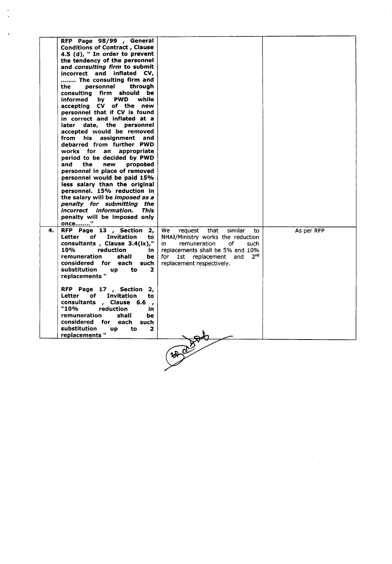|    | RFP Page 98/99 , General<br><b>Conditions of Contract, Clause</b><br>4.5 (d), " In order to prevent<br>the tendency of the personnel<br>and <i>consulting firm</i> to submit<br>incorrect and inflated CV,<br>The consulting firm and<br>personnel<br>through<br>the<br>consulting firm should be<br><b>PWD</b><br>informed<br>bv.<br>while<br>accepting CV of the new<br>personnel that if CV is found<br>in correct and inflated at a<br>later date, the personnel<br>accepted would be removed<br>from his<br>assignment and<br>debarred from further PWD<br>works for an appropriate<br>period to be decided by PWD<br>and<br>the<br>new<br>proposed<br>personnel in place of removed<br>personnel would be paid 15%<br>less salary than the original<br>personnel. 15% reduction in<br>the salary will be <i>imposed as a</i><br>penalty for submitting the<br>incorrect information.<br><b>This</b><br>penalty will be imposed only |                                                                                                                                                                                                                                  |            |
|----|-------------------------------------------------------------------------------------------------------------------------------------------------------------------------------------------------------------------------------------------------------------------------------------------------------------------------------------------------------------------------------------------------------------------------------------------------------------------------------------------------------------------------------------------------------------------------------------------------------------------------------------------------------------------------------------------------------------------------------------------------------------------------------------------------------------------------------------------------------------------------------------------------------------------------------------------|----------------------------------------------------------------------------------------------------------------------------------------------------------------------------------------------------------------------------------|------------|
| 4. | once"<br>RFP Page 13, Section 2,<br>Letter<br>of<br><b>Invitation</b><br>to<br>consultants, Clause 3.4(ix),"<br>10%<br>reduction<br>in.<br>remuneration<br>shall<br>be<br>considered for each such<br>substitution<br>$\mathbf{z}$<br><b>up</b><br>to<br>replacements "                                                                                                                                                                                                                                                                                                                                                                                                                                                                                                                                                                                                                                                                   | We .<br>request that<br>similar<br>to<br>NHAI/Ministry works the reduction<br>remuneration<br>of<br>in<br>such<br>replacements shall be 5% and 10%<br>2 <sup>nd</sup><br>for<br>1st replacement and<br>replacement respectively. | As per RFP |
|    | RFP Page 17, Section 2,<br>of<br>Invitation<br>Letter<br>to<br>consultants, Clause 6.6<br>$\overline{\phantom{a}}$<br>"10%<br>reduction<br>in<br>remuneration<br>shall<br>be<br>considered for each<br>such<br>substitution<br>to<br>2<br><b>up</b><br>replacements "                                                                                                                                                                                                                                                                                                                                                                                                                                                                                                                                                                                                                                                                     |                                                                                                                                                                                                                                  |            |
|    |                                                                                                                                                                                                                                                                                                                                                                                                                                                                                                                                                                                                                                                                                                                                                                                                                                                                                                                                           | 387000                                                                                                                                                                                                                           |            |

 $\label{eq:2.1} \frac{1}{2} \sum_{i=1}^n \frac{1}{2} \sum_{j=1}^n \frac{1}{2} \sum_{j=1}^n \frac{1}{2} \sum_{j=1}^n \frac{1}{2} \sum_{j=1}^n \frac{1}{2} \sum_{j=1}^n \frac{1}{2} \sum_{j=1}^n \frac{1}{2} \sum_{j=1}^n \frac{1}{2} \sum_{j=1}^n \frac{1}{2} \sum_{j=1}^n \frac{1}{2} \sum_{j=1}^n \frac{1}{2} \sum_{j=1}^n \frac{1}{2} \sum_{j=1}^n \frac{$ 

 $\mathbb{Z}^2$ 

 $\label{eq:2.1} \begin{split} \frac{d\mathbf{r}}{dt} & = \frac{d\mathbf{r}}{dt} \left[ \frac{d\mathbf{r}}{dt} - \frac{d\mathbf{r}}{dt} \right] \left[ \frac{d\mathbf{r}}{dt} - \frac{d\mathbf{r}}{dt} \right] \mathbf{r} \left[ \frac{d\mathbf{r}}{dt} - \frac{d\mathbf{r}}{dt} \right] \mathbf{r} \left[ \frac{d\mathbf{r}}{dt} - \frac{d\mathbf{r}}{dt} \right] \mathbf{r} \left[ \frac{d\mathbf{r}}{dt} - \frac{d\mathbf{r}}{$ 

 $\frac{1}{2}$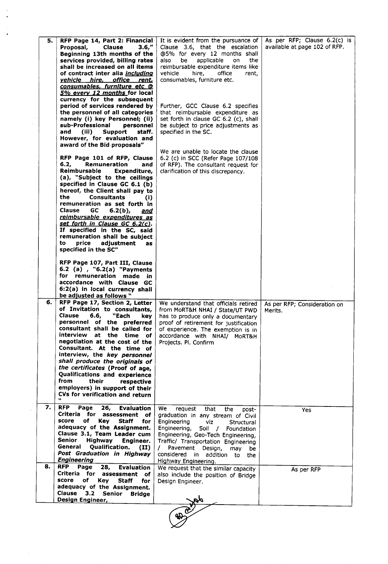| 5. | RFP Page 14, Part 2: Financial<br><b>Clause</b><br>3.6,''<br>Proposal,<br>Beginning 13th months of the<br>services provided, billing rates<br>shall be increased on all items<br>of contract inter alia <i>including</i><br>vehicle hire, office rent,<br>consumables, furniture etc @<br>5% every 12 months for local<br>currency for the subsequent<br>period of services rendered by<br>the personnel of all categories<br>namely (i) key Personnel; (ii)<br>sub-Professional<br>personnel<br>and<br>(iii)<br>Support<br>staff.<br>However, for evaluation and<br>award of the Bid proposals"<br>RFP Page 101 of RFP, Clause<br>6.2,<br>Remuneration<br>and<br>Reimbursable<br>Expenditure,<br>(a), "Subject to the ceilings<br>specified in Clause GC 6.1 (b)<br>hereof, the Client shall pay to<br>the<br><b>Consultants</b><br>(i)<br>remuneration as set forth in<br>GC<br><b>Clause</b><br>$6.2(b)$ ,<br>and<br>reimbursable expenditures as<br>set forth in Clause GC 6.2(c).<br>If specified in the SC, said<br>remuneration shall be subject<br>price<br>adjustment<br>to<br>as<br>specified in the SC"<br>RFP Page 107, Part III, Clause<br>6.2 (a), "6.2(a) "Payments<br>for remuneration made in<br>accordance with Clause GC | It is evident from the pursuance of<br>Clause 3.6, that the escalation<br>@5% for every 12 months shall<br>applicable<br>also<br>be<br>the.<br>on<br>reimbursable expenditure items like<br>vehicle<br>hire,<br>office<br>rent,<br>consumables, furniture etc.<br>Further, GCC Clause 6.2 specifies<br>that reimbursable expenditure as<br>set forth in clause GC 6.2 (c), shall<br>be subject to price adjustments as<br>specified in the SC.<br>We are unable to locate the clause<br>6.2 (c) in SCC (Refer Page 107/108<br>of RFP). The consultant request for<br>clarification of this discrepancy. | As per RFP; Clause 6.2(c) is<br>available at page 102 of RFP. |
|----|---------------------------------------------------------------------------------------------------------------------------------------------------------------------------------------------------------------------------------------------------------------------------------------------------------------------------------------------------------------------------------------------------------------------------------------------------------------------------------------------------------------------------------------------------------------------------------------------------------------------------------------------------------------------------------------------------------------------------------------------------------------------------------------------------------------------------------------------------------------------------------------------------------------------------------------------------------------------------------------------------------------------------------------------------------------------------------------------------------------------------------------------------------------------------------------------------------------------------------------------|---------------------------------------------------------------------------------------------------------------------------------------------------------------------------------------------------------------------------------------------------------------------------------------------------------------------------------------------------------------------------------------------------------------------------------------------------------------------------------------------------------------------------------------------------------------------------------------------------------|---------------------------------------------------------------|
| 6. | 6:2(a) in local currency shall<br>be adjusted as follows "<br>RFP Page 17, Section 2, Letter                                                                                                                                                                                                                                                                                                                                                                                                                                                                                                                                                                                                                                                                                                                                                                                                                                                                                                                                                                                                                                                                                                                                                | We understand that officials retired                                                                                                                                                                                                                                                                                                                                                                                                                                                                                                                                                                    | As per RFP; Consideration on                                  |
|    | of Invitation to consultants,<br><b>Clause</b><br>"Each<br>6.6,<br>kev<br>personnel of the preferred<br>consultant shall be called for<br>interview<br>at the time of<br>negotiation at the cost of the<br>Consultant. At the time of<br>interview, the key personnel<br>shall produce the originals of<br>the certificates (Proof of age,<br>Qualifications and experience<br>from<br>their<br>respective<br>employers) in support of their<br>CVs for verification and return<br>$\mathbf{v}$                                                                                                                                                                                                                                                                                                                                                                                                                                                                                                                                                                                                                                                                                                                                             | from MoRT&H NHAI / State/UT PWD<br>has to produce only a documentary<br>proof of retirement for justification<br>of experience. The exemption is in<br>accordance with NHAI/ MoRT&H<br>Projects. Pl. Confirm                                                                                                                                                                                                                                                                                                                                                                                            | Merits.                                                       |
| 7. | <b>RFP</b><br>Page<br>26,<br><b>Evaluation</b><br>Criteria for assessment<br>of<br>score<br>оf<br>Kev<br>Staff<br>for<br>adequacy of the Assignment.<br>Clause 3.1, Team Leader cum<br>Senior<br><b>Highway</b><br>Engineer.<br>General<br>Qualification.<br>(II)<br>Post Graduation in Highway<br><b>Engineering</b>                                                                                                                                                                                                                                                                                                                                                                                                                                                                                                                                                                                                                                                                                                                                                                                                                                                                                                                       | We .<br>request<br>that<br>the<br>post-<br>graduation in any stream of Civil<br>Engineering<br>viz<br>Structural<br>Engineering,<br>Soil / Foundation<br>Engineering, Geo-Tech Engineering,<br>Traffic/ Transportation Engineering<br>Pavement<br>Design,<br>may<br>be<br>considered in<br>addition to<br>the<br>Highway Engineering.                                                                                                                                                                                                                                                                   | Yes                                                           |
| 8. | RFP.<br>Page<br>28,<br><b>Evaluation</b><br>Criteria for assessment<br>of<br>score<br>оf<br>Key<br>Staff<br>for<br>adequacy of the Assignment.<br>Clause<br>3.2<br><b>Senior</b><br><b>Bridge</b><br>Design Engineer,                                                                                                                                                                                                                                                                                                                                                                                                                                                                                                                                                                                                                                                                                                                                                                                                                                                                                                                                                                                                                       | We request that the similar capacity<br>also include the position of Bridge<br>Design Engineer.                                                                                                                                                                                                                                                                                                                                                                                                                                                                                                         | As per RFP                                                    |
|    |                                                                                                                                                                                                                                                                                                                                                                                                                                                                                                                                                                                                                                                                                                                                                                                                                                                                                                                                                                                                                                                                                                                                                                                                                                             | $40^{\circ}$                                                                                                                                                                                                                                                                                                                                                                                                                                                                                                                                                                                            |                                                               |

 $\frac{1}{2}$ 

 $\frac{1}{\sqrt{2}}$ 

 $\mathcal{L}(\mathcal{A})$  .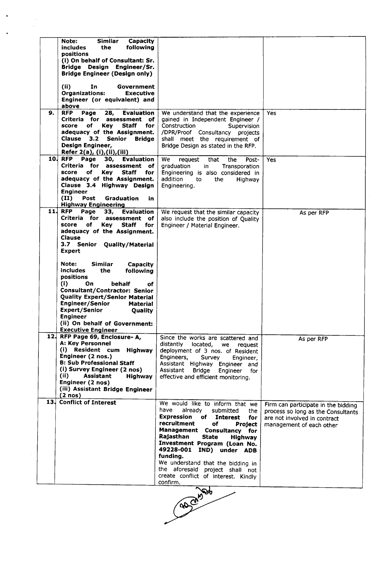|    | <b>Similar</b><br>Capacity<br>Note:<br>following<br>includes<br>the<br>positions<br>(i) On behalf of Consultant: Sr.<br>Bridge Design Engineer/Sr.<br><b>Bridge Engineer (Design only)</b>                                                                                                                                           |                                                                                                                                                                                                                                                                                                                                                                                                             |                                                                                                                                       |
|----|--------------------------------------------------------------------------------------------------------------------------------------------------------------------------------------------------------------------------------------------------------------------------------------------------------------------------------------|-------------------------------------------------------------------------------------------------------------------------------------------------------------------------------------------------------------------------------------------------------------------------------------------------------------------------------------------------------------------------------------------------------------|---------------------------------------------------------------------------------------------------------------------------------------|
|    | (ii)<br>In<br>Government<br><b>Organizations:</b><br><b>Executive</b><br>Engineer (or equivalent) and<br>above                                                                                                                                                                                                                       |                                                                                                                                                                                                                                                                                                                                                                                                             |                                                                                                                                       |
| 9. | <b>RFP</b><br>Page<br>28,<br>Evaluation<br>Criteria for assessment<br>of.<br>оf<br>Key<br><b>Staff</b><br>score<br>for<br>adequacy of the Assignment.<br>Clause 3.2 Senior<br><b>Bridge</b><br>Design Engineer,<br>Refer 2(a), (i), (ii), (iii)                                                                                      | We understand that the experience<br>gained in Independent Engineer /<br>Construction<br>Supervision<br>/DPR/Proof Consultancy projects<br>shall meet the requirement of<br>Bridge Design as stated in the RFP.                                                                                                                                                                                             | Yes                                                                                                                                   |
|    | 10. RFP Page<br>30,<br><b>Evaluation</b><br>Criteria for assessment of<br>score<br>of<br><b>Key</b><br><b>Staff</b><br>for<br>adequacy of the Assignment.<br>Clause 3.4 Highway Design<br><b>Engineer</b><br>(II)<br>Post<br>Graduation<br>in<br><b>Highway Engineering</b>                                                          | We.<br>request<br>that<br>the<br>Post-<br>graduation<br>in<br>Transporation<br>Engineering is also considered in<br>addition<br>to<br>the.<br>Highway<br>Engineering.                                                                                                                                                                                                                                       | Yes                                                                                                                                   |
|    | 11. RFP<br>Page<br>33,<br>Evaluation<br>Criteria for assessment<br>of.<br>score<br>of<br>Key.<br>Staff<br>for<br>adequacy of the Assignment.<br>Clause<br>3.7 Senior<br><b>Quality/Material</b><br>Expert                                                                                                                            | We request that the similar capacity<br>also include the position of Quality<br>Engineer / Material Engineer.                                                                                                                                                                                                                                                                                               | As per RFP                                                                                                                            |
|    | Note:<br><b>Similar</b><br>Capacity<br>includes<br>the<br>following<br>positions<br>(i)<br>On.<br>behalf<br>оf<br>Consultant/Contractor: Senior<br><b>Quality Expert/Senior Material</b><br>Engineer/Senior<br>Material<br>Expert/Senior<br>Quality<br><b>Engineer</b><br>(ii) On behalf of Government:<br><b>Executive Engineer</b> |                                                                                                                                                                                                                                                                                                                                                                                                             |                                                                                                                                       |
|    | 12. RFP Page 69, Enclosure-A,<br><b>A: Key Personnel</b><br>(i) Resident cum Highway<br>Engineer (2 nos.)<br><b>B: Sub Professional Staff</b><br>(i) Survey Engineer (2 nos)<br>(ii)<br>Assistant<br>Highway<br>Engineer (2 nos)<br>(iii) Assistant Bridge Engineer<br>$(2 \text{ nos})$                                             | Since the works are scattered and<br>distantly<br>located,<br>we request<br>deployment of 3 nos. of Resident<br>Engineers,<br>Survey<br>Engineer,<br>Assistant Highway Engineer and<br>Assistant Bridge<br>Engineer<br>for<br>effective and efficient monitoring.                                                                                                                                           | As per RFP                                                                                                                            |
|    | 13. Conflict of Interest                                                                                                                                                                                                                                                                                                             | We would like to inform that we<br>have<br>already<br>submitted<br>the<br><b>Expression of Interest</b><br>for<br>recruitment<br>of<br>Project<br>Management Consultancy for<br>Rajasthan<br><b>State</b><br>Highway<br>Investment Program (Loan No.<br>49228-001 IND) under ADB<br>funding.<br>We understand that the bidding in<br>the aforesaid project shall not<br>create conflict of interest. Kindly | Firm can participate in the bidding<br>process so long as the Consultants<br>are not involved in contract<br>management of each other |

and only before